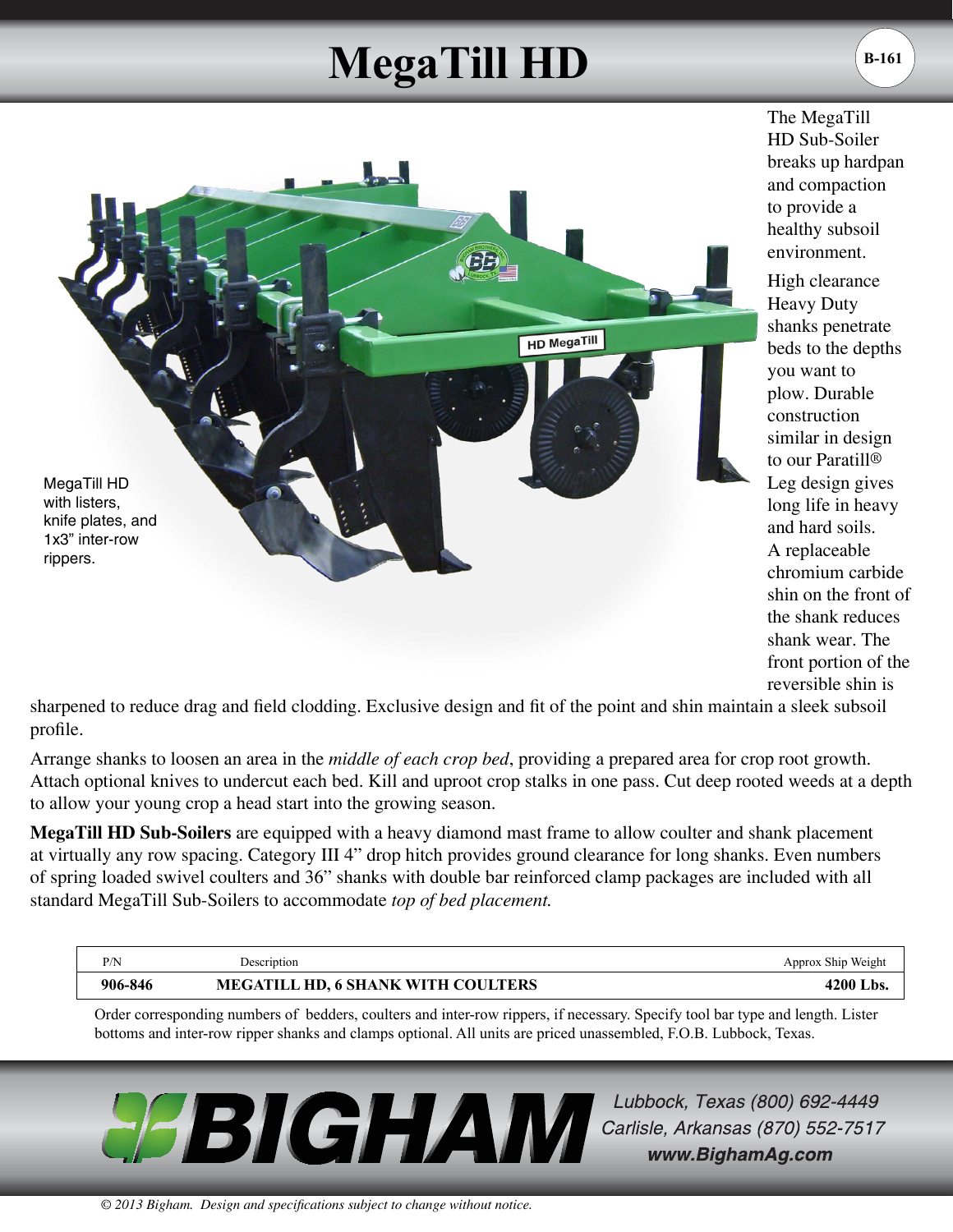## **MegaTill HD**



The MegaTill HD Sub-Soiler breaks up hardpan and compaction to provide a healthy subsoil environment.

High clearance Heavy Duty shanks penetrate beds to the depths you want to plow. Durable construction similar in design to our Paratill® Leg design gives long life in heavy and hard soils. A replaceable chromium carbide shin on the front of the shank reduces shank wear. The front portion of the reversible shin is

sharpened to reduce drag and field clodding. Exclusive design and fit of the point and shin maintain a sleek subsoil profile.

Arrange shanks to loosen an area in the *middle of each crop bed*, providing a prepared area for crop root growth. Attach optional knives to undercut each bed. Kill and uproot crop stalks in one pass. Cut deep rooted weeds at a depth to allow your young crop a head start into the growing season.

**MegaTill HD Sub-Soilers** are equipped with a heavy diamond mast frame to allow coulter and shank placement at virtually any row spacing. Category III 4" drop hitch provides ground clearance for long shanks. Even numbers of spring loaded swivel coulters and 36" shanks with double bar reinforced clamp packages are included with all standard MegaTill Sub-Soilers to accommodate *top of bed placement.*

| P/N     | Description                        | Approx Ship Weight |
|---------|------------------------------------|--------------------|
| 906-846 | MEGATILL HD, 6 SHANK WITH COULTERS | 4200 Lbs.          |

Order corresponding numbers of bedders, coulters and inter-row rippers, if necessary. Specify tool bar type and length. Lister bottoms and inter-row ripper shanks and clamps optional. All units are priced unassembled, F.O.B. Lubbock, Texas.



Lubbock, Texas (800) 692-4449 Carlisle, Arkansas (870) 552-7517 www.BighamAg.com